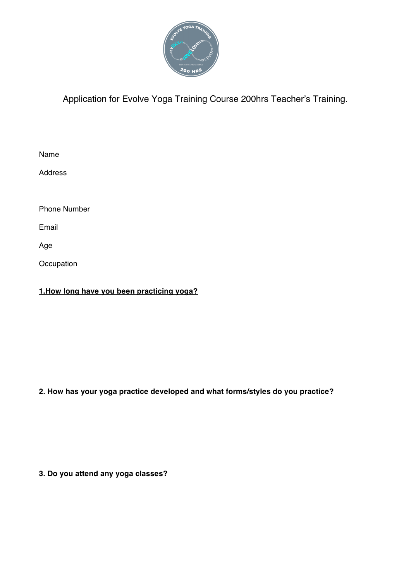

Application for Evolve Yoga Training Course 200hrs Teacher's Training.

| Name                |  |
|---------------------|--|
| <b>Address</b>      |  |
|                     |  |
| <b>Phone Number</b> |  |
| Email               |  |
| Age                 |  |
| Occupation          |  |

**1.How long have you been practicing yoga?**

## **2. How has your yoga practice developed and what forms/styles do you practice?**

**3. Do you attend any yoga classes?**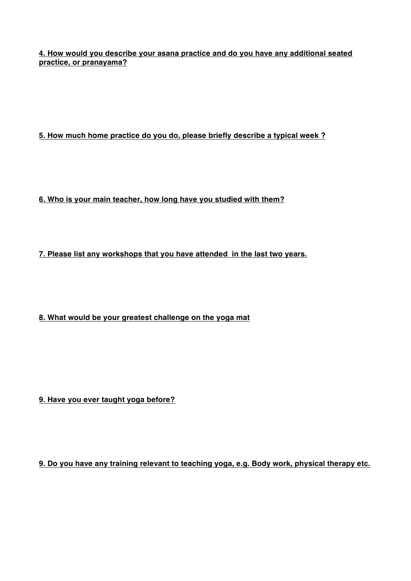**4. How would you describe your asana practice and do you have any additional seated practice, or pranayama?**

**5. How much home practice do you do, please briefly describe a typical week ?**

**6. Who is your main teacher, how long have you studied with them?**

**7. Please list any workshops that you have attended in the last two years.**

**8. What would be your greatest challenge on the yoga mat**

**9. Have you ever taught yoga before?**

**9. Do you have any training relevant to teaching yoga, e.g. Body work, physical therapy etc.**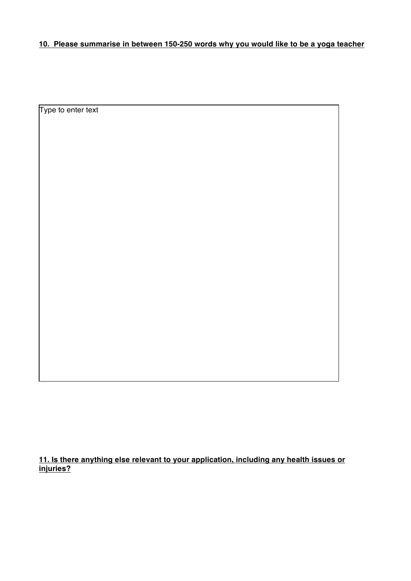## **10. Please summarise in between 150-250 words why you would like to be a yoga teacher**

Type to enter text

**11. Is there anything else relevant to your application, including any health issues or injuries?**